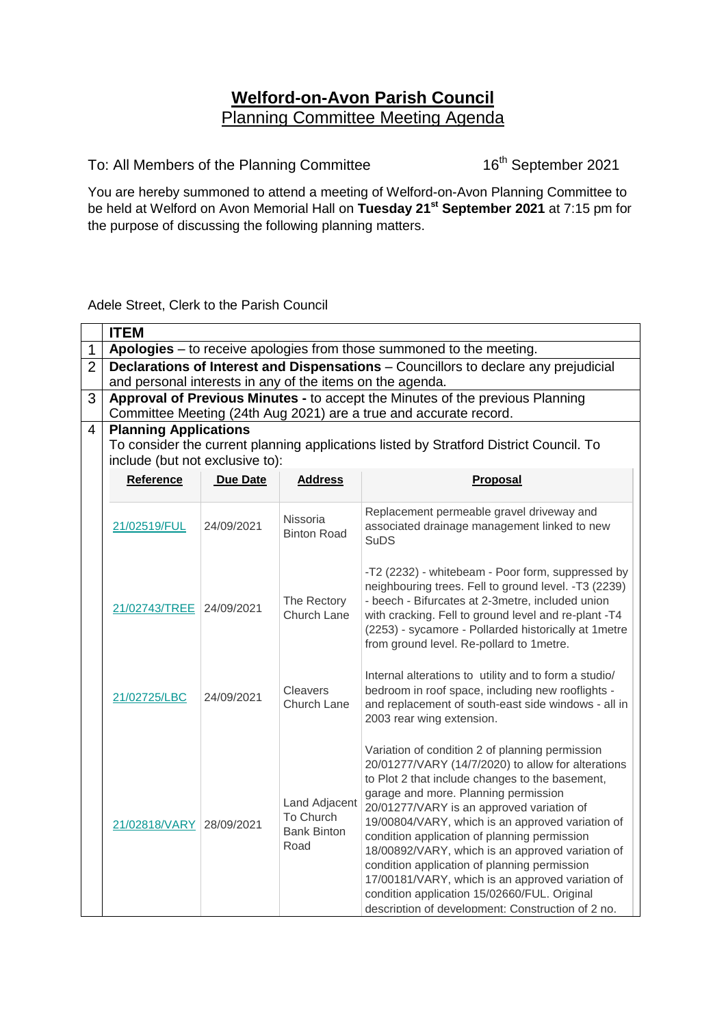## **Welford-on-Avon Parish Council** Planning Committee Meeting Agenda

To: All Members of the Planning Committee

16<sup>th</sup> September 2021

You are hereby summoned to attend a meeting of Welford-on-Avon Planning Committee to be held at Welford on Avon Memorial Hall on **Tuesday 21 st September 2021** at 7:15 pm for the purpose of discussing the following planning matters.

## Adele Street, Clerk to the Parish Council

|                | <b>ITEM</b>                                                                                                                                |                 |                                                          |                                                                                                                                                                                                                                                                                                                                                                                                                                                                                                                                                                                                                |  |  |  |  |
|----------------|--------------------------------------------------------------------------------------------------------------------------------------------|-----------------|----------------------------------------------------------|----------------------------------------------------------------------------------------------------------------------------------------------------------------------------------------------------------------------------------------------------------------------------------------------------------------------------------------------------------------------------------------------------------------------------------------------------------------------------------------------------------------------------------------------------------------------------------------------------------------|--|--|--|--|
| 1              | Apologies - to receive apologies from those summoned to the meeting.                                                                       |                 |                                                          |                                                                                                                                                                                                                                                                                                                                                                                                                                                                                                                                                                                                                |  |  |  |  |
| $\overline{2}$ | Declarations of Interest and Dispensations - Councillors to declare any prejudicial                                                        |                 |                                                          |                                                                                                                                                                                                                                                                                                                                                                                                                                                                                                                                                                                                                |  |  |  |  |
|                | and personal interests in any of the items on the agenda.<br>Approval of Previous Minutes - to accept the Minutes of the previous Planning |                 |                                                          |                                                                                                                                                                                                                                                                                                                                                                                                                                                                                                                                                                                                                |  |  |  |  |
| 3              | Committee Meeting (24th Aug 2021) are a true and accurate record.                                                                          |                 |                                                          |                                                                                                                                                                                                                                                                                                                                                                                                                                                                                                                                                                                                                |  |  |  |  |
| $\overline{4}$ | <b>Planning Applications</b>                                                                                                               |                 |                                                          |                                                                                                                                                                                                                                                                                                                                                                                                                                                                                                                                                                                                                |  |  |  |  |
|                | To consider the current planning applications listed by Stratford District Council. To                                                     |                 |                                                          |                                                                                                                                                                                                                                                                                                                                                                                                                                                                                                                                                                                                                |  |  |  |  |
|                | include (but not exclusive to):                                                                                                            |                 |                                                          |                                                                                                                                                                                                                                                                                                                                                                                                                                                                                                                                                                                                                |  |  |  |  |
|                | Reference                                                                                                                                  | <b>Due Date</b> | <b>Address</b>                                           | Proposal                                                                                                                                                                                                                                                                                                                                                                                                                                                                                                                                                                                                       |  |  |  |  |
|                |                                                                                                                                            |                 |                                                          |                                                                                                                                                                                                                                                                                                                                                                                                                                                                                                                                                                                                                |  |  |  |  |
|                | 21/02519/FUL                                                                                                                               | 24/09/2021      | Nissoria<br><b>Binton Road</b>                           | Replacement permeable gravel driveway and<br>associated drainage management linked to new<br><b>SuDS</b>                                                                                                                                                                                                                                                                                                                                                                                                                                                                                                       |  |  |  |  |
|                | 21/02743/TREE                                                                                                                              | 24/09/2021      | The Rectory<br>Church Lane                               | -T2 (2232) - whitebeam - Poor form, suppressed by<br>neighbouring trees. Fell to ground level. -T3 (2239)<br>- beech - Bifurcates at 2-3metre, included union<br>with cracking. Fell to ground level and re-plant -T4<br>(2253) - sycamore - Pollarded historically at 1 metre<br>from ground level. Re-pollard to 1 metre.                                                                                                                                                                                                                                                                                    |  |  |  |  |
|                | 21/02725/LBC                                                                                                                               | 24/09/2021      | Cleavers<br>Church Lane                                  | Internal alterations to utility and to form a studio/<br>bedroom in roof space, including new rooflights -<br>and replacement of south-east side windows - all in<br>2003 rear wing extension.                                                                                                                                                                                                                                                                                                                                                                                                                 |  |  |  |  |
|                | 21/02818/VARY                                                                                                                              | 28/09/2021      | Land Adjacent<br>To Church<br><b>Bank Binton</b><br>Road | Variation of condition 2 of planning permission<br>20/01277/VARY (14/7/2020) to allow for alterations<br>to Plot 2 that include changes to the basement,<br>garage and more. Planning permission<br>20/01277/VARY is an approved variation of<br>19/00804/VARY, which is an approved variation of<br>condition application of planning permission<br>18/00892/VARY, which is an approved variation of<br>condition application of planning permission<br>17/00181/VARY, which is an approved variation of<br>condition application 15/02660/FUL. Original<br>description of development: Construction of 2 no. |  |  |  |  |